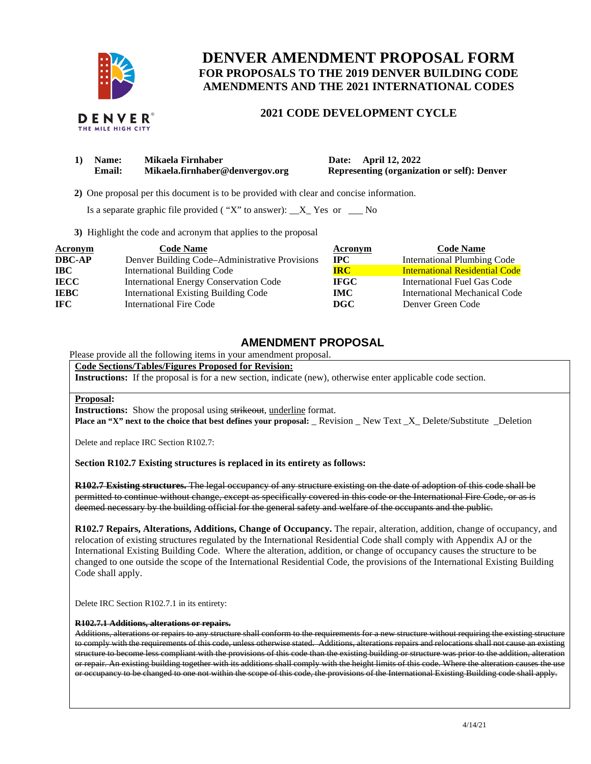

# **DENVER AMENDMENT PROPOSAL FORM FOR PROPOSALS TO THE 2019 DENVER BUILDING CODE AMENDMENTS AND THE 2021 INTERNATIONAL CODES**

# **2021 CODE DEVELOPMENT CYCLE**

| 1) | <b>Name:</b> | Mikaela Firnhaber               |
|----|--------------|---------------------------------|
|    | Email:       | Mikaela.firnhaber@denvergov.org |

**1 12, 2022** *Name:* **April 12, 2022 Representing (organization or self): Denver** 

 **2)** One proposal per this document is to be provided with clear and concise information.

Is a separate graphic file provided ( "X" to answer):  $X_X$  Yes or  $X_Y$  No

**3)** Highlight the code and acronym that applies to the proposal

| <b>Acronym</b> | <b>Code Name</b>                               | Acronym      | <b>Code Name</b>                      |
|----------------|------------------------------------------------|--------------|---------------------------------------|
| <b>DBC-AP</b>  | Denver Building Code–Administrative Provisions | $_{\rm IPC}$ | <b>International Plumbing Code</b>    |
| <b>IBC</b>     | International Building Code                    | <b>IRC</b>   | <b>International Residential Code</b> |
| <b>IECC</b>    | <b>International Energy Conservation Code</b>  | <b>IFGC</b>  | International Fuel Gas Code           |
| <b>IEBC</b>    | <b>International Existing Building Code</b>    | IMC.         | International Mechanical Code         |
| <b>IFC</b>     | <b>International Fire Code</b>                 | DGC          | Denver Green Code                     |

# **AMENDMENT PROPOSAL**

Please provide all the following items in your amendment proposal.

#### **Code Sections/Tables/Figures Proposed for Revision:**

**Instructions:** If the proposal is for a new section, indicate (new), otherwise enter applicable code section.

#### **Proposal:**

**Instructions:** Show the proposal using strikeout, underline format.

**Place an "X" next to the choice that best defines your proposal:** Revision New Text X Delete/Substitute Deletion

Delete and replace IRC Section R102.7:

#### **Section R102.7 Existing structures is replaced in its entirety as follows:**

**R102.7 Existing structures.** The legal occupancy of any structure existing on the date of adoption of this code shall be permitted to continue without change, except as specifically covered in this code or the International Fire Code, or as is deemed necessary by the building official for the general safety and welfare of the occupants and the public.

**R102.7 Repairs, Alterations, Additions, Change of Occupancy.** The repair, alteration, addition, change of occupancy, and relocation of existing structures regulated by the International Residential Code shall comply with Appendix AJ or the International Existing Building Code. Where the alteration, addition, or change of occupancy causes the structure to be changed to one outside the scope of the International Residential Code, the provisions of the International Existing Building Code shall apply.

Delete IRC Section R102.7.1 in its entirety:

#### **R102.7.1 Additions, alterations or repairs.**

Additions, alterations or repairs to any structure shall conform to the requirements for a new structure without requiring the existing structure to comply with the requirements of this code, unless otherwise stated. Additions, alterations repairs and relocations shall not cause an existing structure to become less compliant with the provisions of this code than the existing building or structure was prior to the addition, alteration or repair. An existing building together with its additions shall comply with the height limits of this code. Where the alteration causes the use or occupancy to be changed to one not within the scope of this code, the provisions of the International Existing Building code shall apply.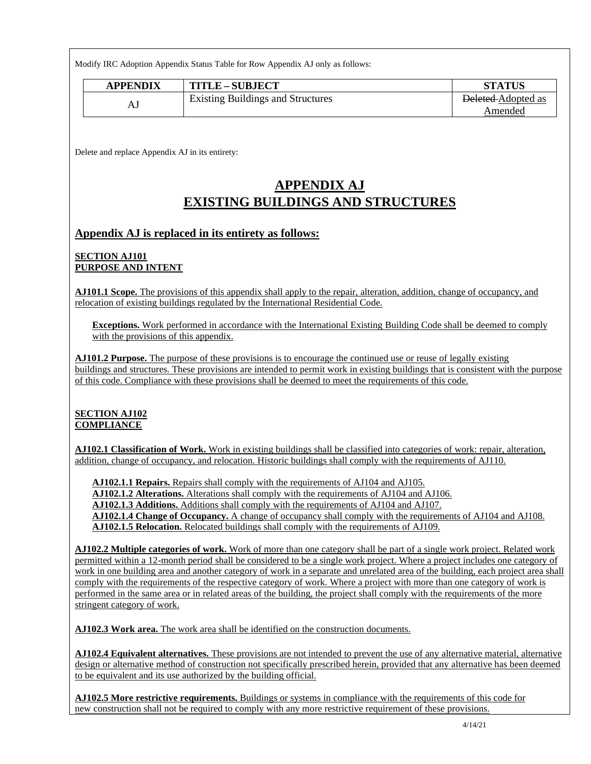Modify IRC Adoption Appendix Status Table for Row Appendix AJ only as follows:

| <b>APPENDIX</b> | <b>TITLE-SUBJECT</b>                     | <b>STATUS</b>             |
|-----------------|------------------------------------------|---------------------------|
|                 | <b>Existing Buildings and Structures</b> | <b>Deleted</b> Adopted as |
|                 |                                          | Amended                   |

Delete and replace Appendix AJ in its entirety:

# **APPENDIX AJ EXISTING BUILDINGS AND STRUCTURES**

# **Appendix AJ is replaced in its entirety as follows:**

# **SECTION AJ101 PURPOSE AND INTENT**

**AJ101.1 Scope.** The provisions of this appendix shall apply to the repair, alteration, addition, change of occupancy, and relocation of existing buildings regulated by the International Residential Code.

**Exceptions.** Work performed in accordance with the International Existing Building Code shall be deemed to comply with the provisions of this appendix.

**AJ101.2 Purpose.** The purpose of these provisions is to encourage the continued use or reuse of legally existing buildings and structures. These provisions are intended to permit work in existing buildings that is consistent with the purpose of this code. Compliance with these provisions shall be deemed to meet the requirements of this code.

# **SECTION AJ102 COMPLIANCE**

**AJ102.1 Classification of Work.** Work in existing buildings shall be classified into categories of work: repair, alteration, addition, change of occupancy, and relocation. Historic buildings shall comply with the requirements of AJ110.

**AJ102.1.1 Repairs.** Repairs shall comply with the requirements of AJ104 and AJ105.

**AJ102.1.2 Alterations.** Alterations shall comply with the requirements of AJ104 and AJ106.

**AJ102.1.3 Additions.** Additions shall comply with the requirements of AJ104 and AJ107.

**AJ102.1.4 Change of Occupancy.** A change of occupancy shall comply with the requirements of AJ104 and AJ108.

**AJ102.1.5 Relocation.** Relocated buildings shall comply with the requirements of AJ109.

**AJ102.2 Multiple categories of work.** Work of more than one category shall be part of a single work project. Related work permitted within a 12-month period shall be considered to be a single work project. Where a project includes one category of work in one building area and another category of work in a separate and unrelated area of the building, each project area shall comply with the requirements of the respective category of work. Where a project with more than one category of work is performed in the same area or in related areas of the building, the project shall comply with the requirements of the more stringent category of work.

**AJ102.3 Work area.** The work area shall be identified on the construction documents.

**AJ102.4 Equivalent alternatives.** These provisions are not intended to prevent the use of any alternative material, alternative design or alternative method of construction not specifically prescribed herein, provided that any alternative has been deemed to be equivalent and its use authorized by the building official.

**AJ102.5 More restrictive requirements.** Buildings or systems in compliance with the requirements of this code for new construction shall not be required to comply with any more restrictive requirement of these provisions.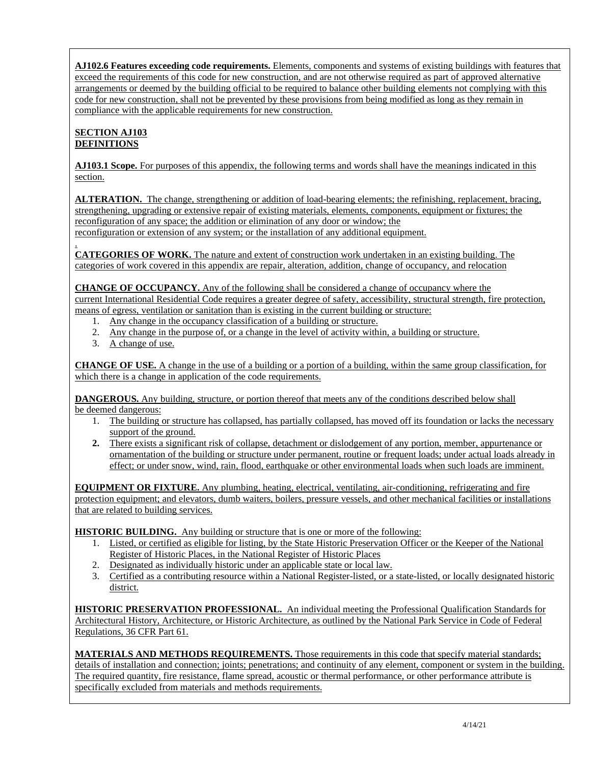**AJ102.6 Features exceeding code requirements.** Elements, components and systems of existing buildings with features that exceed the requirements of this code for new construction, and are not otherwise required as part of approved alternative arrangements or deemed by the building official to be required to balance other building elements not complying with this code for new construction, shall not be prevented by these provisions from being modified as long as they remain in compliance with the applicable requirements for new construction.

# **SECTION AJ103 DEFINITIONS**

**AJ103.1 Scope.** For purposes of this appendix, the following terms and words shall have the meanings indicated in this section.

**ALTERATION.** The change, strengthening or addition of load-bearing elements; the refinishing, replacement, bracing, strengthening, upgrading or extensive repair of existing materials, elements, components, equipment or fixtures; the reconfiguration of any space; the addition or elimination of any door or window; the reconfiguration or extension of any system; or the installation of any additional equipment.

. **CATEGORIES OF WORK.** The nature and extent of construction work undertaken in an existing building. The categories of work covered in this appendix are repair, alteration, addition, change of occupancy, and relocation

**CHANGE OF OCCUPANCY.** Any of the following shall be considered a change of occupancy where the current International Residential Code requires a greater degree of safety, accessibility, structural strength, fire protection, means of egress, ventilation or sanitation than is existing in the current building or structure:

- 1. Any change in the occupancy classification of a building or structure.
- 2. Any change in the purpose of, or a change in the level of activity within, a building or structure.
- 3. A change of use.

**CHANGE OF USE.** A change in the use of a building or a portion of a building, within the same group classification, for which there is a change in application of the code requirements.

**DANGEROUS.** Any building, structure, or portion thereof that meets any of the conditions described below shall be deemed dangerous:

- 1. The building or structure has collapsed, has partially collapsed, has moved off its foundation or lacks the necessary support of the ground.
- **2.** There exists a significant risk of collapse, detachment or dislodgement of any portion, member, appurtenance or ornamentation of the building or structure under permanent, routine or frequent loads; under actual loads already in effect; or under snow, wind, rain, flood, earthquake or other environmental loads when such loads are imminent.

**EQUIPMENT OR FIXTURE.** Any plumbing, heating, electrical, ventilating, air-conditioning, refrigerating and fire protection equipment; and elevators, dumb waiters, boilers, pressure vessels, and other mechanical facilities or installations that are related to building services.

**HISTORIC BUILDING.** Any building or structure that is one or more of the following:

- 1. Listed, or certified as eligible for listing, by the State Historic Preservation Officer or the Keeper of the National Register of Historic Places, in the National Register of Historic Places
- 2. Designated as individually historic under an applicable state or local law.
- 3. Certified as a contributing resource within a National Register-listed, or a state-listed, or locally designated historic district.

**HISTORIC PRESERVATION PROFESSIONAL.** An individual meeting the Professional Qualification Standards for Architectural History, Architecture, or Historic Architecture, as outlined by the National Park Service in Code of Federal Regulations, 36 CFR Part 61.

**MATERIALS AND METHODS REQUIREMENTS.** Those requirements in this code that specify material standards; details of installation and connection; joints; penetrations; and continuity of any element, component or system in the building. The required quantity, fire resistance, flame spread, acoustic or thermal performance, or other performance attribute is specifically excluded from materials and methods requirements.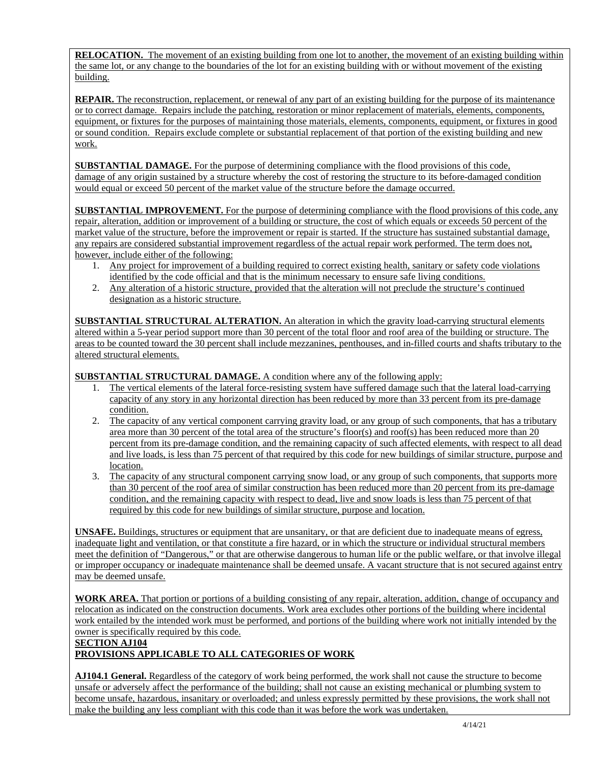**RELOCATION.** The movement of an existing building from one lot to another, the movement of an existing building within the same lot, or any change to the boundaries of the lot for an existing building with or without movement of the existing building.

**REPAIR.** The reconstruction, replacement, or renewal of any part of an existing building for the purpose of its maintenance or to correct damage. Repairs include the patching, restoration or minor replacement of materials, elements, components, equipment, or fixtures for the purposes of maintaining those materials, elements, components, equipment, or fixtures in good or sound condition. Repairs exclude complete or substantial replacement of that portion of the existing building and new work.

**SUBSTANTIAL DAMAGE.** For the purpose of determining compliance with the flood provisions of this code, damage of any origin sustained by a structure whereby the cost of restoring the structure to its before-damaged condition would equal or exceed 50 percent of the market value of the structure before the damage occurred.

**SUBSTANTIAL IMPROVEMENT.** For the purpose of determining compliance with the flood provisions of this code, any repair, alteration, addition or improvement of a building or structure, the cost of which equals or exceeds 50 percent of the market value of the structure, before the improvement or repair is started. If the structure has sustained substantial damage, any repairs are considered substantial improvement regardless of the actual repair work performed. The term does not, however, include either of the following:

- 1. Any project for improvement of a building required to correct existing health, sanitary or safety code violations identified by the code official and that is the minimum necessary to ensure safe living conditions.
- 2. Any alteration of a historic structure, provided that the alteration will not preclude the structure's continued designation as a historic structure.

**SUBSTANTIAL STRUCTURAL ALTERATION.** An alteration in which the gravity load-carrying structural elements altered within a 5-year period support more than 30 percent of the total floor and roof area of the building or structure. The areas to be counted toward the 30 percent shall include mezzanines, penthouses, and in-filled courts and shafts tributary to the altered structural elements.

**SUBSTANTIAL STRUCTURAL DAMAGE.** A condition where any of the following apply:

- 1. The vertical elements of the lateral force-resisting system have suffered damage such that the lateral load-carrying capacity of any story in any horizontal direction has been reduced by more than 33 percent from its pre-damage condition.
- 2. The capacity of any vertical component carrying gravity load, or any group of such components, that has a tributary area more than 30 percent of the total area of the structure's floor(s) and roof(s) has been reduced more than 20 percent from its pre-damage condition, and the remaining capacity of such affected elements, with respect to all dead and live loads, is less than 75 percent of that required by this code for new buildings of similar structure, purpose and location.
- 3. The capacity of any structural component carrying snow load, or any group of such components, that supports more than 30 percent of the roof area of similar construction has been reduced more than 20 percent from its pre-damage condition, and the remaining capacity with respect to dead, live and snow loads is less than 75 percent of that required by this code for new buildings of similar structure, purpose and location.

**UNSAFE.** Buildings, structures or equipment that are unsanitary, or that are deficient due to inadequate means of egress, inadequate light and ventilation, or that constitute a fire hazard, or in which the structure or individual structural members meet the definition of "Dangerous," or that are otherwise dangerous to human life or the public welfare, or that involve illegal or improper occupancy or inadequate maintenance shall be deemed unsafe. A vacant structure that is not secured against entry may be deemed unsafe.

**WORK AREA.** That portion or portions of a building consisting of any repair, alteration, addition, change of occupancy and relocation as indicated on the construction documents. Work area excludes other portions of the building where incidental work entailed by the intended work must be performed, and portions of the building where work not initially intended by the owner is specifically required by this code.

# **SECTION AJ104**

# **PROVISIONS APPLICABLE TO ALL CATEGORIES OF WORK**

**AJ104.1 General.** Regardless of the category of work being performed, the work shall not cause the structure to become unsafe or adversely affect the performance of the building; shall not cause an existing mechanical or plumbing system to become unsafe, hazardous, insanitary or overloaded; and unless expressly permitted by these provisions, the work shall not make the building any less compliant with this code than it was before the work was undertaken.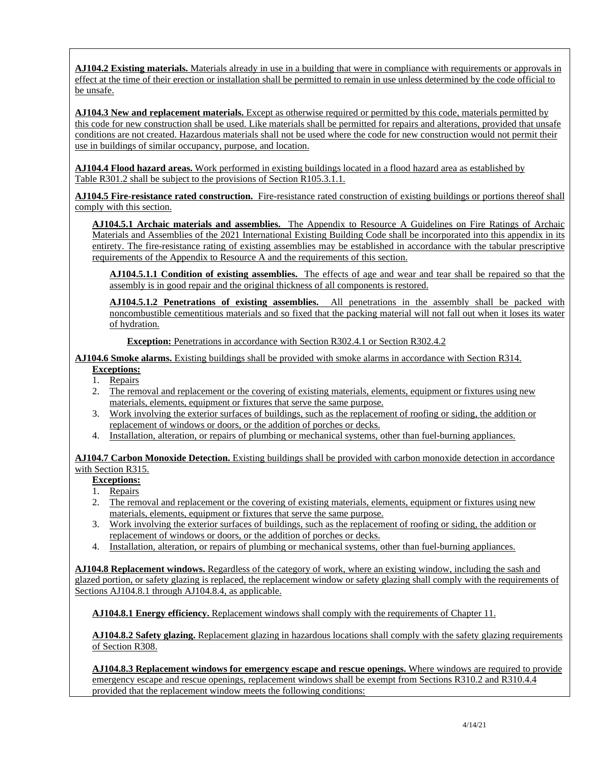**AJ104.2 Existing materials.** Materials already in use in a building that were in compliance with requirements or approvals in effect at the time of their erection or installation shall be permitted to remain in use unless determined by the code official to be unsafe.

**AJ104.3 New and replacement materials.** Except as otherwise required or permitted by this code, materials permitted by this code for new construction shall be used. Like materials shall be permitted for repairs and alterations, provided that unsafe conditions are not created. Hazardous materials shall not be used where the code for new construction would not permit their use in buildings of similar occupancy, purpose, and location.

**AJ104.4 Flood hazard areas.** Work performed in existing buildings located in a flood hazard area as established by Table R301.2 shall be subject to the provisions of Section R105.3.1.1.

**AJ104.5 Fire-resistance rated construction.** Fire-resistance rated construction of existing buildings or portions thereof shall comply with this section.

**AJ104.5.1 Archaic materials and assemblies.** The Appendix to Resource A Guidelines on Fire Ratings of Archaic Materials and Assemblies of the 2021 International Existing Building Code shall be incorporated into this appendix in its entirety. The fire-resistance rating of existing assemblies may be established in accordance with the tabular prescriptive requirements of the Appendix to Resource A and the requirements of this section.

**AJ104.5.1.1 Condition of existing assemblies.** The effects of age and wear and tear shall be repaired so that the assembly is in good repair and the original thickness of all components is restored.

**AJ104.5.1.2 Penetrations of existing assemblies.** All penetrations in the assembly shall be packed with noncombustible cementitious materials and so fixed that the packing material will not fall out when it loses its water of hydration.

**Exception:** Penetrations in accordance with Section R302.4.1 or Section R302.4.2

**AJ104.6 Smoke alarms.** Existing buildings shall be provided with smoke alarms in accordance with Section R314.

#### **Exceptions:**

- 1. Repairs
- 2. The removal and replacement or the covering of existing materials, elements, equipment or fixtures using new materials, elements, equipment or fixtures that serve the same purpose.
- 3. Work involving the exterior surfaces of buildings, such as the replacement of roofing or siding, the addition or replacement of windows or doors, or the addition of porches or decks.
- 4. Installation, alteration, or repairs of plumbing or mechanical systems, other than fuel-burning appliances.

**AJ104.7 Carbon Monoxide Detection.** Existing buildings shall be provided with carbon monoxide detection in accordance with Section R315.

#### **Exceptions:**

- 1. Repairs
- 2. The removal and replacement or the covering of existing materials, elements, equipment or fixtures using new materials, elements, equipment or fixtures that serve the same purpose.
- 3. Work involving the exterior surfaces of buildings, such as the replacement of roofing or siding, the addition or replacement of windows or doors, or the addition of porches or decks.
- 4. Installation, alteration, or repairs of plumbing or mechanical systems, other than fuel-burning appliances.

**AJ104.8 Replacement windows.** Regardless of the category of work, where an existing window, including the sash and glazed portion, or safety glazing is replaced, the replacement window or safety glazing shall comply with the requirements of Sections AJ104.8.1 through AJ104.8.4, as applicable.

**AJ104.8.1 Energy efficiency.** Replacement windows shall comply with the requirements of Chapter 11.

**AJ104.8.2 Safety glazing.** Replacement glazing in hazardous locations shall comply with the safety glazing requirements of Section R308.

**AJ104.8.3 Replacement windows for emergency escape and rescue openings.** Where windows are required to provide emergency escape and rescue openings, replacement windows shall be exempt from Sections R310.2 and R310.4.4 provided that the replacement window meets the following conditions: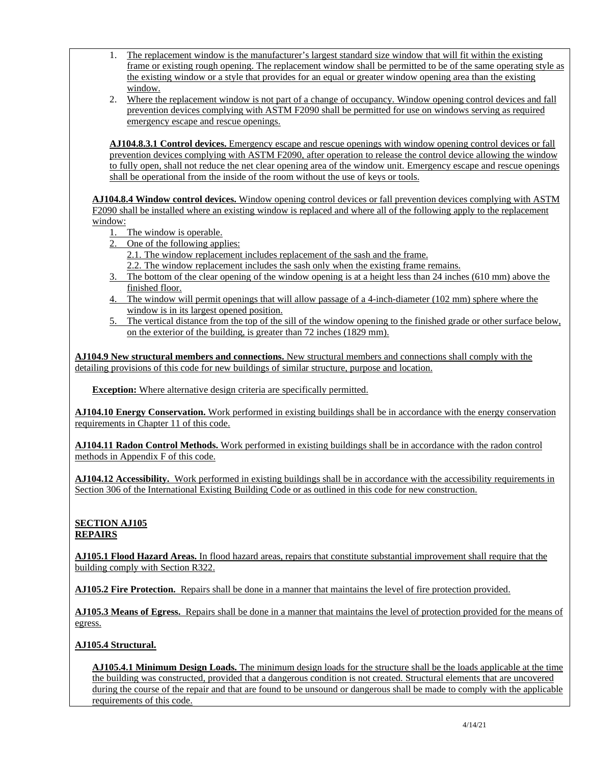- 1. The replacement window is the manufacturer's largest standard size window that will fit within the existing frame or existing rough opening. The replacement window shall be permitted to be of the same operating style as the existing window or a style that provides for an equal or greater window opening area than the existing window.
- 2. Where the replacement window is not part of a change of occupancy. Window opening control devices and fall prevention devices complying with ASTM F2090 shall be permitted for use on windows serving as required emergency escape and rescue openings.

**AJ104.8.3.1 Control devices.** Emergency escape and rescue openings with window opening control devices or fall prevention devices complying with ASTM F2090, after operation to release the control device allowing the window to fully open, shall not reduce the net clear opening area of the window unit. Emergency escape and rescue openings shall be operational from the inside of the room without the use of keys or tools.

**AJ104.8.4 Window control devices.** Window opening control devices or fall prevention devices complying with ASTM F2090 shall be installed where an existing window is replaced and where all of the following apply to the replacement window:

- 1. The window is operable.
- 2. One of the following applies:
	- 2.1. The window replacement includes replacement of the sash and the frame.
	- 2.2. The window replacement includes the sash only when the existing frame remains.
- 3. The bottom of the clear opening of the window opening is at a height less than 24 inches (610 mm) above the finished floor.
- 4. The window will permit openings that will allow passage of a 4-inch-diameter (102 mm) sphere where the window is in its largest opened position.
- 5. The vertical distance from the top of the sill of the window opening to the finished grade or other surface below, on the exterior of the building, is greater than 72 inches (1829 mm).

**AJ104.9 New structural members and connections.** New structural members and connections shall comply with the detailing provisions of this code for new buildings of similar structure, purpose and location.

**Exception:** Where alternative design criteria are specifically permitted.

**AJ104.10 Energy Conservation.** Work performed in existing buildings shall be in accordance with the energy conservation requirements in Chapter 11 of this code.

**AJ104.11 Radon Control Methods.** Work performed in existing buildings shall be in accordance with the radon control methods in Appendix F of this code.

**AJ104.12 Accessibility.** Work performed in existing buildings shall be in accordance with the accessibility requirements in Section 306 of the International Existing Building Code or as outlined in this code for new construction.

# **SECTION AJ105 REPAIRS**

**AJ105.1 Flood Hazard Areas.** In flood hazard areas, repairs that constitute substantial improvement shall require that the building comply with Section R322.

**AJ105.2 Fire Protection.** Repairs shall be done in a manner that maintains the level of fire protection provided.

**AJ105.3 Means of Egress.** Repairs shall be done in a manner that maintains the level of protection provided for the means of egress.

# **AJ105.4 Structural.**

**AJ105.4.1 Minimum Design Loads.** The minimum design loads for the structure shall be the loads applicable at the time the building was constructed, provided that a dangerous condition is not created. Structural elements that are uncovered during the course of the repair and that are found to be unsound or dangerous shall be made to comply with the applicable requirements of this code.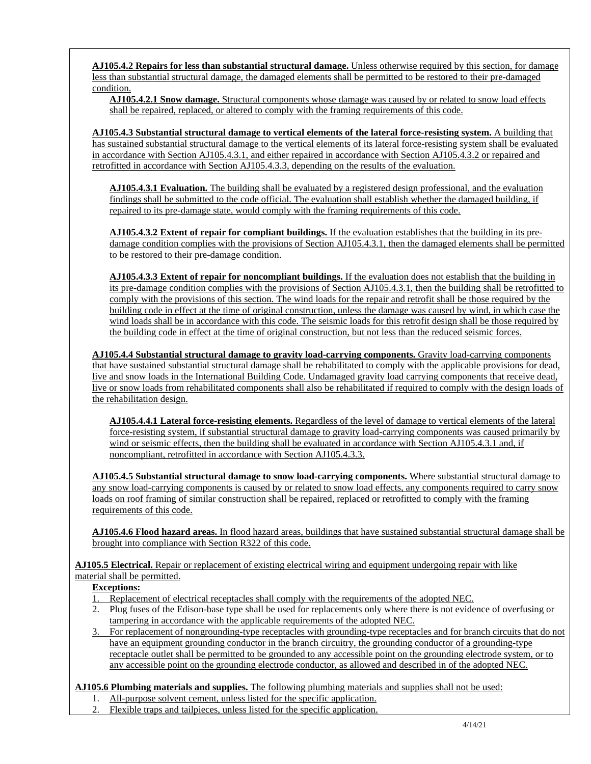**AJ105.4.2 Repairs for less than substantial structural damage.** Unless otherwise required by this section, for damage less than substantial structural damage, the damaged elements shall be permitted to be restored to their pre-damaged condition.

**AJ105.4.2.1 Snow damage.** Structural components whose damage was caused by or related to snow load effects shall be repaired, replaced, or altered to comply with the framing requirements of this code.

**AJ105.4.3 Substantial structural damage to vertical elements of the lateral force-resisting system.** A building that has sustained substantial structural damage to the vertical elements of its lateral force-resisting system shall be evaluated in accordance with Section AJ105.4.3.1, and either repaired in accordance with Section AJ105.4.3.2 or repaired and retrofitted in accordance with Section AJ105.4.3.3, depending on the results of the evaluation.

**AJ105.4.3.1 Evaluation.** The building shall be evaluated by a registered design professional, and the evaluation findings shall be submitted to the code official. The evaluation shall establish whether the damaged building, if repaired to its pre-damage state, would comply with the framing requirements of this code.

**AJ105.4.3.2 Extent of repair for compliant buildings.** If the evaluation establishes that the building in its predamage condition complies with the provisions of Section AJ105.4.3.1, then the damaged elements shall be permitted to be restored to their pre-damage condition.

**AJ105.4.3.3 Extent of repair for noncompliant buildings.** If the evaluation does not establish that the building in its pre-damage condition complies with the provisions of Section AJ105.4.3.1, then the building shall be retrofitted to comply with the provisions of this section. The wind loads for the repair and retrofit shall be those required by the building code in effect at the time of original construction, unless the damage was caused by wind, in which case the wind loads shall be in accordance with this code. The seismic loads for this retrofit design shall be those required by the building code in effect at the time of original construction, but not less than the reduced seismic forces.

**AJ105.4.4 Substantial structural damage to gravity load-carrying components.** Gravity load-carrying components that have sustained substantial structural damage shall be rehabilitated to comply with the applicable provisions for dead, live and snow loads in the International Building Code. Undamaged gravity load carrying components that receive dead, live or snow loads from rehabilitated components shall also be rehabilitated if required to comply with the design loads of the rehabilitation design.

**AJ105.4.4.1 Lateral force-resisting elements.** Regardless of the level of damage to vertical elements of the lateral force-resisting system, if substantial structural damage to gravity load-carrying components was caused primarily by wind or seismic effects, then the building shall be evaluated in accordance with Section AJ105.4.3.1 and, if noncompliant, retrofitted in accordance with Section AJ105.4.3.3.

**AJ105.4.5 Substantial structural damage to snow load-carrying components.** Where substantial structural damage to any snow load-carrying components is caused by or related to snow load effects, any components required to carry snow loads on roof framing of similar construction shall be repaired, replaced or retrofitted to comply with the framing requirements of this code.

**AJ105.4.6 Flood hazard areas.** In flood hazard areas, buildings that have sustained substantial structural damage shall be brought into compliance with Section R322 of this code.

**AJ105.5 Electrical.** Repair or replacement of existing electrical wiring and equipment undergoing repair with like material shall be permitted.

# **Exceptions:**

- 1. Replacement of electrical receptacles shall comply with the requirements of the adopted NEC.
- 2. Plug fuses of the Edison-base type shall be used for replacements only where there is not evidence of overfusing or tampering in accordance with the applicable requirements of the adopted NEC.
- 3. For replacement of nongrounding-type receptacles with grounding-type receptacles and for branch circuits that do not have an equipment grounding conductor in the branch circuitry, the grounding conductor of a grounding-type receptacle outlet shall be permitted to be grounded to any accessible point on the grounding electrode system, or to any accessible point on the grounding electrode conductor, as allowed and described in of the adopted NEC.

**AJ105.6 Plumbing materials and supplies.** The following plumbing materials and supplies shall not be used:

- 1. All-purpose solvent cement, unless listed for the specific application.
- 2. Flexible traps and tailpieces, unless listed for the specific application.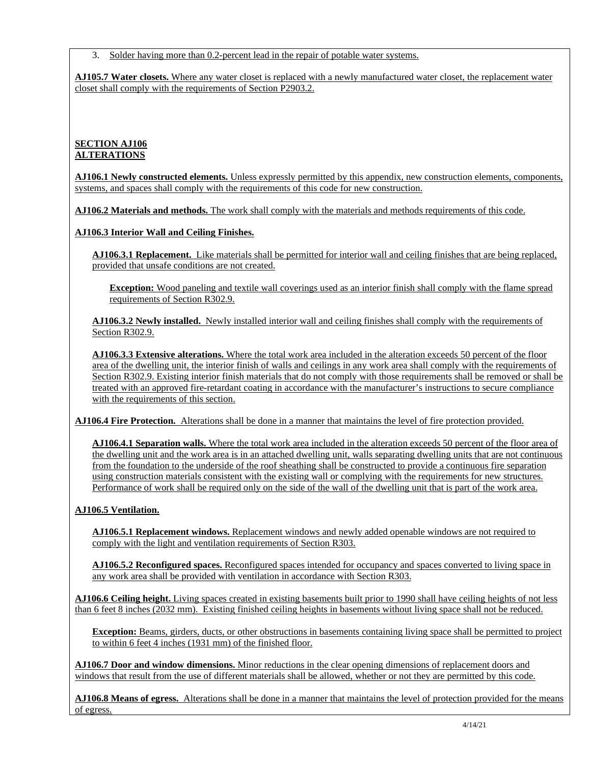3. Solder having more than 0.2-percent lead in the repair of potable water systems.

**AJ105.7 Water closets.** Where any water closet is replaced with a newly manufactured water closet, the replacement water closet shall comply with the requirements of Section P2903.2.

# **SECTION AJ106 ALTERATIONS**

**AJ106.1 Newly constructed elements.** Unless expressly permitted by this appendix, new construction elements, components, systems, and spaces shall comply with the requirements of this code for new construction.

**AJ106.2 Materials and methods.** The work shall comply with the materials and methods requirements of this code.

**AJ106.3 Interior Wall and Ceiling Finishes.** 

**AJ106.3.1 Replacement.** Like materials shall be permitted for interior wall and ceiling finishes that are being replaced, provided that unsafe conditions are not created.

**Exception:** Wood paneling and textile wall coverings used as an interior finish shall comply with the flame spread requirements of Section R302.9.

**AJ106.3.2 Newly installed.** Newly installed interior wall and ceiling finishes shall comply with the requirements of Section R302.9.

**AJ106.3.3 Extensive alterations.** Where the total work area included in the alteration exceeds 50 percent of the floor area of the dwelling unit, the interior finish of walls and ceilings in any work area shall comply with the requirements of Section R302.9. Existing interior finish materials that do not comply with those requirements shall be removed or shall be treated with an approved fire-retardant coating in accordance with the manufacturer's instructions to secure compliance with the requirements of this section.

**AJ106.4 Fire Protection.** Alterations shall be done in a manner that maintains the level of fire protection provided.

**AJ106.4.1 Separation walls.** Where the total work area included in the alteration exceeds 50 percent of the floor area of the dwelling unit and the work area is in an attached dwelling unit, walls separating dwelling units that are not continuous from the foundation to the underside of the roof sheathing shall be constructed to provide a continuous fire separation using construction materials consistent with the existing wall or complying with the requirements for new structures. Performance of work shall be required only on the side of the wall of the dwelling unit that is part of the work area.

# **AJ106.5 Ventilation.**

**AJ106.5.1 Replacement windows.** Replacement windows and newly added openable windows are not required to comply with the light and ventilation requirements of Section R303.

**AJ106.5.2 Reconfigured spaces.** Reconfigured spaces intended for occupancy and spaces converted to living space in any work area shall be provided with ventilation in accordance with Section R303.

**AJ106.6 Ceiling height.** Living spaces created in existing basements built prior to 1990 shall have ceiling heights of not less than 6 feet 8 inches (2032 mm). Existing finished ceiling heights in basements without living space shall not be reduced.

**Exception:** Beams, girders, ducts, or other obstructions in basements containing living space shall be permitted to project to within 6 feet 4 inches (1931 mm) of the finished floor.

**AJ106.7 Door and window dimensions.** Minor reductions in the clear opening dimensions of replacement doors and windows that result from the use of different materials shall be allowed, whether or not they are permitted by this code.

**AJ106.8 Means of egress.** Alterations shall be done in a manner that maintains the level of protection provided for the means of egress.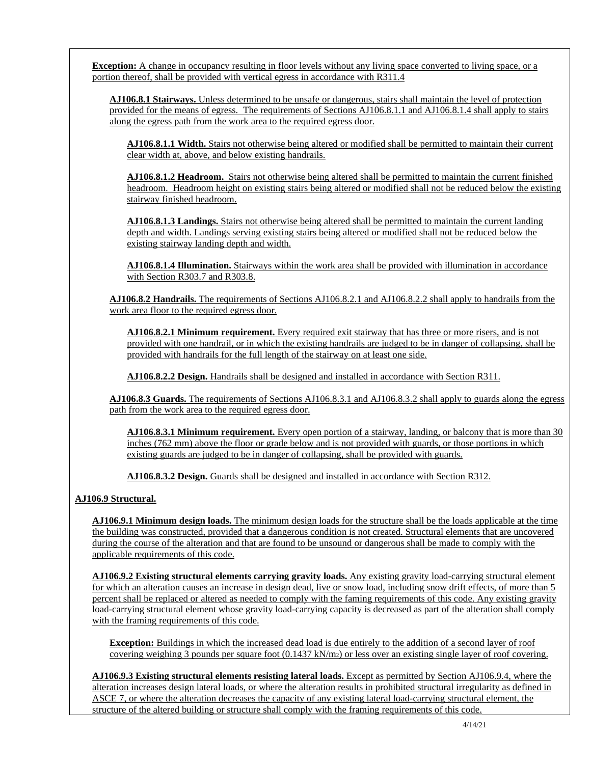**Exception:** A change in occupancy resulting in floor levels without any living space converted to living space, or a portion thereof, shall be provided with vertical egress in accordance with R311.4

**AJ106.8.1 Stairways.** Unless determined to be unsafe or dangerous, stairs shall maintain the level of protection provided for the means of egress. The requirements of Sections AJ106.8.1.1 and AJ106.8.1.4 shall apply to stairs along the egress path from the work area to the required egress door.

**AJ106.8.1.1 Width.** Stairs not otherwise being altered or modified shall be permitted to maintain their current clear width at, above, and below existing handrails.

**AJ106.8.1.2 Headroom.** Stairs not otherwise being altered shall be permitted to maintain the current finished headroom. Headroom height on existing stairs being altered or modified shall not be reduced below the existing stairway finished headroom.

**AJ106.8.1.3 Landings.** Stairs not otherwise being altered shall be permitted to maintain the current landing depth and width. Landings serving existing stairs being altered or modified shall not be reduced below the existing stairway landing depth and width.

**AJ106.8.1.4 Illumination.** Stairways within the work area shall be provided with illumination in accordance with Section R303.7 and R303.8.

**AJ106.8.2 Handrails.** The requirements of Sections AJ106.8.2.1 and AJ106.8.2.2 shall apply to handrails from the work area floor to the required egress door.

**AJ106.8.2.1 Minimum requirement.** Every required exit stairway that has three or more risers, and is not provided with one handrail, or in which the existing handrails are judged to be in danger of collapsing, shall be provided with handrails for the full length of the stairway on at least one side.

**AJ106.8.2.2 Design.** Handrails shall be designed and installed in accordance with Section R311.

**AJ106.8.3 Guards.** The requirements of Sections AJ106.8.3.1 and AJ106.8.3.2 shall apply to guards along the egress path from the work area to the required egress door.

**AJ106.8.3.1 Minimum requirement.** Every open portion of a stairway, landing, or balcony that is more than 30 inches (762 mm) above the floor or grade below and is not provided with guards, or those portions in which existing guards are judged to be in danger of collapsing, shall be provided with guards.

**AJ106.8.3.2 Design.** Guards shall be designed and installed in accordance with Section R312.

#### **AJ106.9 Structural.**

**AJ106.9.1 Minimum design loads.** The minimum design loads for the structure shall be the loads applicable at the time the building was constructed, provided that a dangerous condition is not created. Structural elements that are uncovered during the course of the alteration and that are found to be unsound or dangerous shall be made to comply with the applicable requirements of this code.

**AJ106.9.2 Existing structural elements carrying gravity loads.** Any existing gravity load-carrying structural element for which an alteration causes an increase in design dead, live or snow load, including snow drift effects, of more than 5 percent shall be replaced or altered as needed to comply with the faming requirements of this code. Any existing gravity load-carrying structural element whose gravity load-carrying capacity is decreased as part of the alteration shall comply with the framing requirements of this code.

**Exception:** Buildings in which the increased dead load is due entirely to the addition of a second layer of roof covering weighing 3 pounds per square foot (0.1437 kN/m2) or less over an existing single layer of roof covering.

**AJ106.9.3 Existing structural elements resisting lateral loads.** Except as permitted by Section AJ106.9.4, where the alteration increases design lateral loads, or where the alteration results in prohibited structural irregularity as defined in ASCE 7, or where the alteration decreases the capacity of any existing lateral load-carrying structural element, the structure of the altered building or structure shall comply with the framing requirements of this code.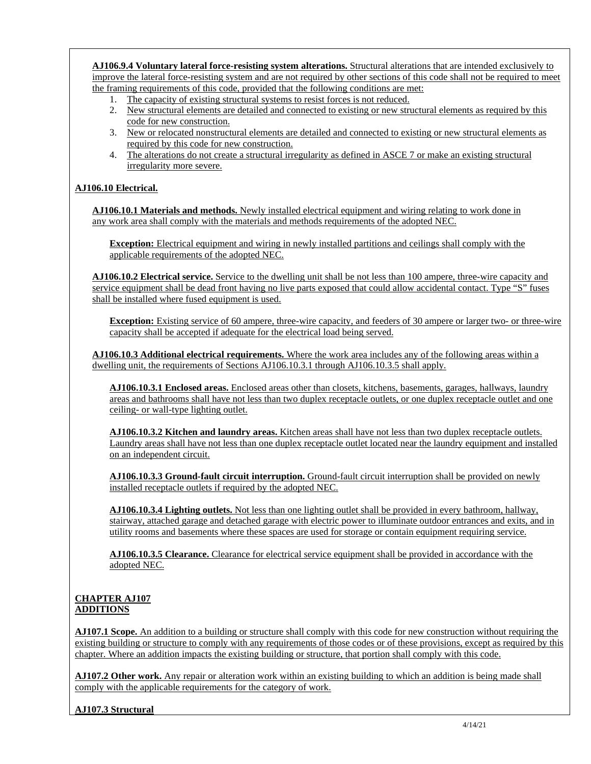**AJ106.9.4 Voluntary lateral force-resisting system alterations.** Structural alterations that are intended exclusively to improve the lateral force-resisting system and are not required by other sections of this code shall not be required to meet the framing requirements of this code, provided that the following conditions are met:

- 1. The capacity of existing structural systems to resist forces is not reduced.
- 2. New structural elements are detailed and connected to existing or new structural elements as required by this code for new construction.
- 3. New or relocated nonstructural elements are detailed and connected to existing or new structural elements as required by this code for new construction.
- 4. The alterations do not create a structural irregularity as defined in ASCE 7 or make an existing structural irregularity more severe.

### **AJ106.10 Electrical.**

**AJ106.10.1 Materials and methods.** Newly installed electrical equipment and wiring relating to work done in any work area shall comply with the materials and methods requirements of the adopted NEC.

**Exception:** Electrical equipment and wiring in newly installed partitions and ceilings shall comply with the applicable requirements of the adopted NEC.

**AJ106.10.2 Electrical service.** Service to the dwelling unit shall be not less than 100 ampere, three-wire capacity and service equipment shall be dead front having no live parts exposed that could allow accidental contact. Type "S" fuses shall be installed where fused equipment is used.

**Exception:** Existing service of 60 ampere, three-wire capacity, and feeders of 30 ampere or larger two- or three-wire capacity shall be accepted if adequate for the electrical load being served.

**AJ106.10.3 Additional electrical requirements.** Where the work area includes any of the following areas within a dwelling unit, the requirements of Sections AJ106.10.3.1 through AJ106.10.3.5 shall apply.

**AJ106.10.3.1 Enclosed areas.** Enclosed areas other than closets, kitchens, basements, garages, hallways, laundry areas and bathrooms shall have not less than two duplex receptacle outlets, or one duplex receptacle outlet and one ceiling- or wall-type lighting outlet.

**AJ106.10.3.2 Kitchen and laundry areas.** Kitchen areas shall have not less than two duplex receptacle outlets. Laundry areas shall have not less than one duplex receptacle outlet located near the laundry equipment and installed on an independent circuit.

**AJ106.10.3.3 Ground-fault circuit interruption.** Ground-fault circuit interruption shall be provided on newly installed receptacle outlets if required by the adopted NEC.

**AJ106.10.3.4 Lighting outlets.** Not less than one lighting outlet shall be provided in every bathroom, hallway, stairway, attached garage and detached garage with electric power to illuminate outdoor entrances and exits, and in utility rooms and basements where these spaces are used for storage or contain equipment requiring service.

**AJ106.10.3.5 Clearance.** Clearance for electrical service equipment shall be provided in accordance with the adopted NEC.

#### **CHAPTER AJ107 ADDITIONS**

**AJ107.1 Scope.** An addition to a building or structure shall comply with this code for new construction without requiring the existing building or structure to comply with any requirements of those codes or of these provisions, except as required by this chapter. Where an addition impacts the existing building or structure, that portion shall comply with this code.

**AJ107.2 Other work.** Any repair or alteration work within an existing building to which an addition is being made shall comply with the applicable requirements for the category of work.

#### **AJ107.3 Structural**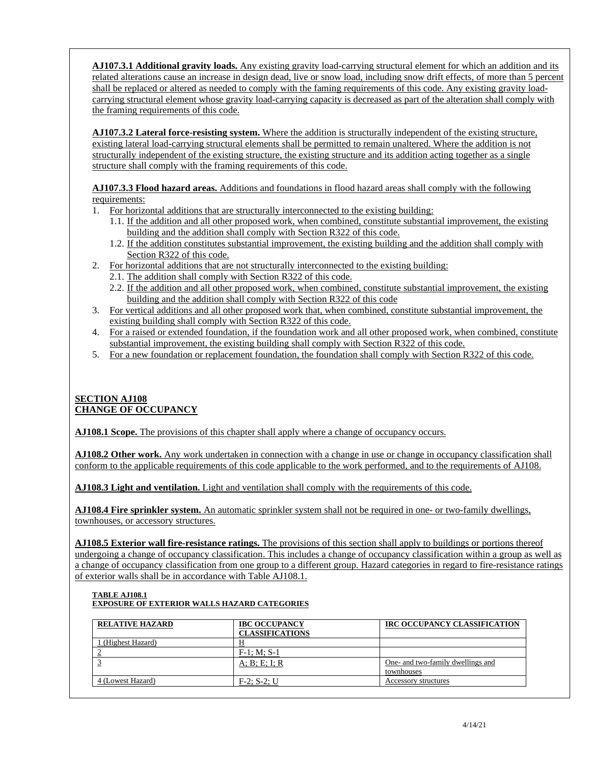**AJ107.3.1 Additional gravity loads.** Any existing gravity load-carrying structural element for which an addition and its related alterations cause an increase in design dead, live or snow load, including snow drift effects, of more than 5 percent shall be replaced or altered as needed to comply with the faming requirements of this code. Any existing gravity loadcarrying structural element whose gravity load-carrying capacity is decreased as part of the alteration shall comply with the framing requirements of this code.

**AJ107.3.2 Lateral force-resisting system.** Where the addition is structurally independent of the existing structure, existing lateral load-carrying structural elements shall be permitted to remain unaltered. Where the addition is not structurally independent of the existing structure, the existing structure and its addition acting together as a single structure shall comply with the framing requirements of this code.

**AJ107.3.3 Flood hazard areas.** Additions and foundations in flood hazard areas shall comply with the following requirements:

- 1. For horizontal additions that are structurally interconnected to the existing building:
	- 1.1. If the addition and all other proposed work, when combined, constitute substantial improvement, the existing building and the addition shall comply with Section R322 of this code.
	- 1.2. If the addition constitutes substantial improvement, the existing building and the addition shall comply with Section R322 of this code.
- 2. For horizontal additions that are not structurally interconnected to the existing building:
	- 2.1. The addition shall comply with Section R322 of this code.
	- 2.2. If the addition and all other proposed work, when combined, constitute substantial improvement, the existing building and the addition shall comply with Section R322 of this code
- 3. For vertical additions and all other proposed work that, when combined, constitute substantial improvement, the existing building shall comply with Section R322 of this code.
- 4. For a raised or extended foundation, if the foundation work and all other proposed work, when combined, constitute substantial improvement, the existing building shall comply with Section R322 of this code.
- 5. For a new foundation or replacement foundation, the foundation shall comply with Section R322 of this code.

# **SECTION AJ108 CHANGE OF OCCUPANCY**

**AJ108.1 Scope.** The provisions of this chapter shall apply where a change of occupancy occurs.

**AJ108.2 Other work.** Any work undertaken in connection with a change in use or change in occupancy classification shall conform to the applicable requirements of this code applicable to the work performed, and to the requirements of AJ108.

**AJ108.3 Light and ventilation.** Light and ventilation shall comply with the requirements of this code.

**AJ108.4 Fire sprinkler system.** An automatic sprinkler system shall not be required in one- or two-family dwellings, townhouses, or accessory structures.

**AJ108.5 Exterior wall fire-resistance ratings.** The provisions of this section shall apply to buildings or portions thereof undergoing a change of occupancy classification. This includes a change of occupancy classification within a group as well as a change of occupancy classification from one group to a different group. Hazard categories in regard to fire-resistance ratings of exterior walls shall be in accordance with Table AJ108.1.

### **TABLE AJ108.1 EXPOSURE OF EXTERIOR WALLS HAZARD CATEGORIES**

| <b>RELATIVE HAZARD</b> | <b>IBC OCCUPANCY</b><br><b>CLASSIFICATIONS</b> | IRC OCCUPANCY CLASSIFICATION                    |
|------------------------|------------------------------------------------|-------------------------------------------------|
| (Highest Hazard)       |                                                |                                                 |
|                        | $F-1$ ; M; S-1                                 |                                                 |
|                        | A; B; E; I; R                                  | One- and two-family dwellings and<br>townhouses |
| 4 (Lowest Hazard)      | $F-2$ ; S-2; U                                 | Accessory structures                            |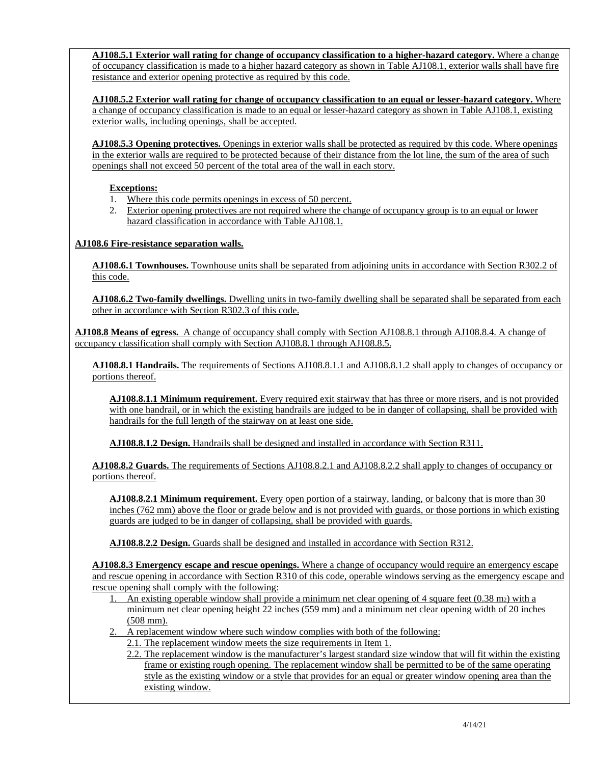**AJ108.5.1 Exterior wall rating for change of occupancy classification to a higher-hazard category.** Where a change of occupancy classification is made to a higher hazard category as shown in Table AJ108.1, exterior walls shall have fire resistance and exterior opening protective as required by this code.

**AJ108.5.2 Exterior wall rating for change of occupancy classification to an equal or lesser-hazard category.** Where a change of occupancy classification is made to an equal or lesser-hazard category as shown in Table AJ108.1, existing exterior walls, including openings, shall be accepted.

**AJ108.5.3 Opening protectives.** Openings in exterior walls shall be protected as required by this code. Where openings in the exterior walls are required to be protected because of their distance from the lot line, the sum of the area of such openings shall not exceed 50 percent of the total area of the wall in each story.

# **Exceptions:**

- 1. Where this code permits openings in excess of 50 percent.
- 2. Exterior opening protectives are not required where the change of occupancy group is to an equal or lower hazard classification in accordance with Table AJ108.1.

# **AJ108.6 Fire-resistance separation walls.**

**AJ108.6.1 Townhouses.** Townhouse units shall be separated from adjoining units in accordance with Section R302.2 of this code.

**AJ108.6.2 Two-family dwellings.** Dwelling units in two-family dwelling shall be separated shall be separated from each other in accordance with Section R302.3 of this code.

**AJ108.8 Means of egress.** A change of occupancy shall comply with Section AJ108.8.1 through AJ108.8.4. A change of occupancy classification shall comply with Section AJ108.8.1 through AJ108.8.5.

**AJ108.8.1 Handrails.** The requirements of Sections AJ108.8.1.1 and AJ108.8.1.2 shall apply to changes of occupancy or portions thereof.

**AJ108.8.1.1 Minimum requirement.** Every required exit stairway that has three or more risers, and is not provided with one handrail, or in which the existing handrails are judged to be in danger of collapsing, shall be provided with handrails for the full length of the stairway on at least one side.

**AJ108.8.1.2 Design.** Handrails shall be designed and installed in accordance with Section R311.

**AJ108.8.2 Guards.** The requirements of Sections AJ108.8.2.1 and AJ108.8.2.2 shall apply to changes of occupancy or portions thereof.

**AJ108.8.2.1 Minimum requirement.** Every open portion of a stairway, landing, or balcony that is more than 30 inches (762 mm) above the floor or grade below and is not provided with guards, or those portions in which existing guards are judged to be in danger of collapsing, shall be provided with guards.

**AJ108.8.2.2 Design.** Guards shall be designed and installed in accordance with Section R312.

**AJ108.8.3 Emergency escape and rescue openings.** Where a change of occupancy would require an emergency escape and rescue opening in accordance with Section R310 of this code, operable windows serving as the emergency escape and rescue opening shall comply with the following:

- An existing operable window shall provide a minimum net clear opening of 4 square feet  $(0.38 \text{ m})$  with a minimum net clear opening height 22 inches (559 mm) and a minimum net clear opening width of 20 inches (508 mm).
- 2. A replacement window where such window complies with both of the following:
	- 2.1. The replacement window meets the size requirements in Item 1.
	- 2.2. The replacement window is the manufacturer's largest standard size window that will fit within the existing frame or existing rough opening. The replacement window shall be permitted to be of the same operating style as the existing window or a style that provides for an equal or greater window opening area than the existing window.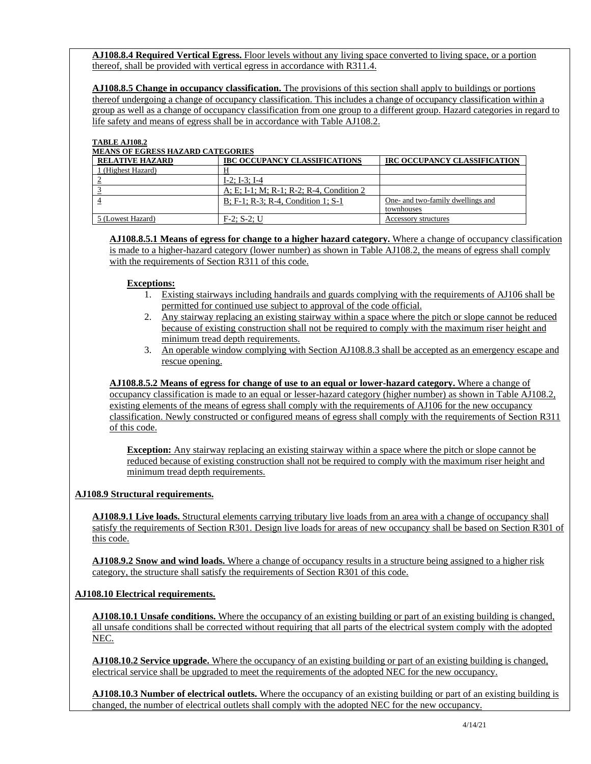**AJ108.8.4 Required Vertical Egress.** Floor levels without any living space converted to living space, or a portion thereof, shall be provided with vertical egress in accordance with R311.4.

**AJ108.8.5 Change in occupancy classification.** The provisions of this section shall apply to buildings or portions thereof undergoing a change of occupancy classification. This includes a change of occupancy classification within a group as well as a change of occupancy classification from one group to a different group. Hazard categories in regard to life safety and means of egress shall be in accordance with Table AJ108.2.

#### **TABLE AJ108.2**

#### **MEANS OF EGRESS HAZARD CATEGORIES**

| <b>RELATIVE HAZARD</b> | <b>IBC OCCUPANCY CLASSIFICATIONS</b>     | IRC OCCUPANCY CLASSIFICATION      |
|------------------------|------------------------------------------|-----------------------------------|
| 1 (Highest Hazard)     |                                          |                                   |
|                        | $I-2$ ; $I-3$ ; $I-4$                    |                                   |
|                        | A; E; I-1; M; R-1; R-2; R-4, Condition 2 |                                   |
|                        | B; F-1; R-3; R-4, Condition 1; S-1       | One- and two-family dwellings and |
|                        |                                          | townhouses                        |
| 5 (Lowest Hazard)      | $F-2$ ; S-2; U                           | Accessory structures              |

**AJ108.8.5.1 Means of egress for change to a higher hazard category.** Where a change of occupancy classification is made to a higher-hazard category (lower number) as shown in Table AJ108.2, the means of egress shall comply with the requirements of Section R311 of this code.

#### **Exceptions:**

- 1. Existing stairways including handrails and guards complying with the requirements of AJ106 shall be permitted for continued use subject to approval of the code official.
- 2. Any stairway replacing an existing stairway within a space where the pitch or slope cannot be reduced because of existing construction shall not be required to comply with the maximum riser height and minimum tread depth requirements.
- 3. An operable window complying with Section AJ108.8.3 shall be accepted as an emergency escape and rescue opening.

**AJ108.8.5.2 Means of egress for change of use to an equal or lower-hazard category.** Where a change of occupancy classification is made to an equal or lesser-hazard category (higher number) as shown in Table AJ108.2, existing elements of the means of egress shall comply with the requirements of AJ106 for the new occupancy classification. Newly constructed or configured means of egress shall comply with the requirements of Section R311 of this code.

**Exception:** Any stairway replacing an existing stairway within a space where the pitch or slope cannot be reduced because of existing construction shall not be required to comply with the maximum riser height and minimum tread depth requirements.

#### **AJ108.9 Structural requirements.**

**AJ108.9.1 Live loads.** Structural elements carrying tributary live loads from an area with a change of occupancy shall satisfy the requirements of Section R301. Design live loads for areas of new occupancy shall be based on Section R301 of this code.

**AJ108.9.2 Snow and wind loads.** Where a change of occupancy results in a structure being assigned to a higher risk category, the structure shall satisfy the requirements of Section R301 of this code.

# **AJ108.10 Electrical requirements.**

**AJ108.10.1 Unsafe conditions.** Where the occupancy of an existing building or part of an existing building is changed, all unsafe conditions shall be corrected without requiring that all parts of the electrical system comply with the adopted NEC.

**AJ108.10.2 Service upgrade.** Where the occupancy of an existing building or part of an existing building is changed, electrical service shall be upgraded to meet the requirements of the adopted NEC for the new occupancy.

**AJ108.10.3 Number of electrical outlets.** Where the occupancy of an existing building or part of an existing building is changed, the number of electrical outlets shall comply with the adopted NEC for the new occupancy.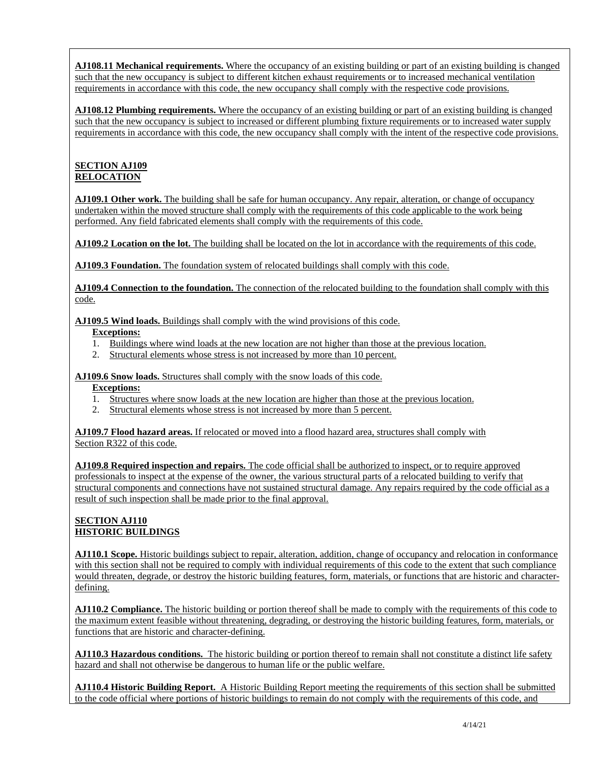**AJ108.11 Mechanical requirements.** Where the occupancy of an existing building or part of an existing building is changed such that the new occupancy is subject to different kitchen exhaust requirements or to increased mechanical ventilation requirements in accordance with this code, the new occupancy shall comply with the respective code provisions.

**AJ108.12 Plumbing requirements.** Where the occupancy of an existing building or part of an existing building is changed such that the new occupancy is subject to increased or different plumbing fixture requirements or to increased water supply requirements in accordance with this code, the new occupancy shall comply with the intent of the respective code provisions.

### **SECTION AJ109 RELOCATION**

**AJ109.1 Other work.** The building shall be safe for human occupancy. Any repair, alteration, or change of occupancy undertaken within the moved structure shall comply with the requirements of this code applicable to the work being performed. Any field fabricated elements shall comply with the requirements of this code.

**AJ109.2 Location on the lot.** The building shall be located on the lot in accordance with the requirements of this code.

**AJ109.3 Foundation.** The foundation system of relocated buildings shall comply with this code.

**AJ109.4 Connection to the foundation.** The connection of the relocated building to the foundation shall comply with this code.

**AJ109.5 Wind loads.** Buildings shall comply with the wind provisions of this code.

#### **Exceptions:**

- 1. Buildings where wind loads at the new location are not higher than those at the previous location.
- 2. Structural elements whose stress is not increased by more than 10 percent.

**AJ109.6 Snow loads.** Structures shall comply with the snow loads of this code.

#### **Exceptions:**

- 1. Structures where snow loads at the new location are higher than those at the previous location.
- 2. Structural elements whose stress is not increased by more than 5 percent.

**AJ109.7 Flood hazard areas.** If relocated or moved into a flood hazard area, structures shall comply with Section R322 of this code.

**AJ109.8 Required inspection and repairs.** The code official shall be authorized to inspect, or to require approved professionals to inspect at the expense of the owner, the various structural parts of a relocated building to verify that structural components and connections have not sustained structural damage. Any repairs required by the code official as a result of such inspection shall be made prior to the final approval.

# **SECTION AJ110 HISTORIC BUILDINGS**

**AJ110.1 Scope.** Historic buildings subject to repair, alteration, addition, change of occupancy and relocation in conformance with this section shall not be required to comply with individual requirements of this code to the extent that such compliance would threaten, degrade, or destroy the historic building features, form, materials, or functions that are historic and characterdefining.

**AJ110.2 Compliance.** The historic building or portion thereof shall be made to comply with the requirements of this code to the maximum extent feasible without threatening, degrading, or destroying the historic building features, form, materials, or functions that are historic and character-defining.

**AJ110.3 Hazardous conditions.** The historic building or portion thereof to remain shall not constitute a distinct life safety hazard and shall not otherwise be dangerous to human life or the public welfare.

**AJ110.4 Historic Building Report.** A Historic Building Report meeting the requirements of this section shall be submitted to the code official where portions of historic buildings to remain do not comply with the requirements of this code, and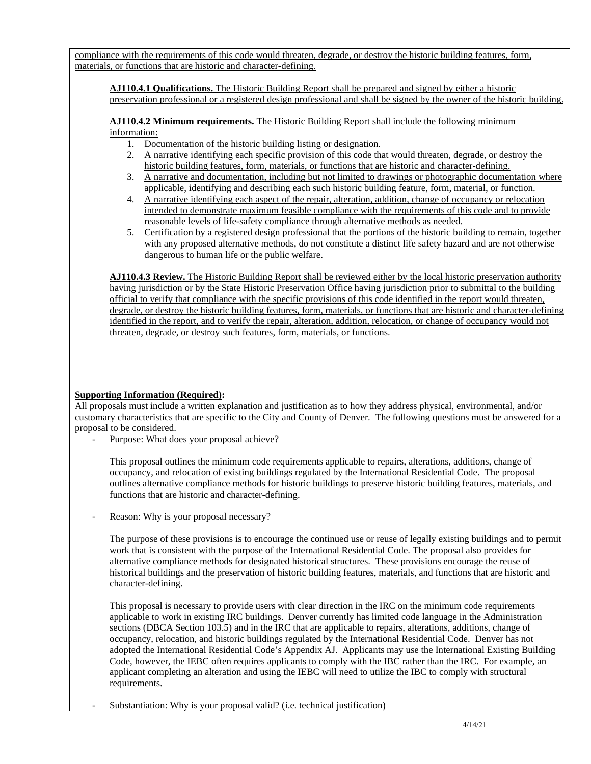compliance with the requirements of this code would threaten, degrade, or destroy the historic building features, form, materials, or functions that are historic and character-defining.

**AJ110.4.1 Qualifications.** The Historic Building Report shall be prepared and signed by either a historic preservation professional or a registered design professional and shall be signed by the owner of the historic building.

**AJ110.4.2 Minimum requirements.** The Historic Building Report shall include the following minimum information:

- 1. Documentation of the historic building listing or designation.
- 2. A narrative identifying each specific provision of this code that would threaten, degrade, or destroy the historic building features, form, materials, or functions that are historic and character-defining.
- 3. A narrative and documentation, including but not limited to drawings or photographic documentation where applicable, identifying and describing each such historic building feature, form, material, or function.
- 4. A narrative identifying each aspect of the repair, alteration, addition, change of occupancy or relocation intended to demonstrate maximum feasible compliance with the requirements of this code and to provide reasonable levels of life-safety compliance through alternative methods as needed.
- 5. Certification by a registered design professional that the portions of the historic building to remain, together with any proposed alternative methods, do not constitute a distinct life safety hazard and are not otherwise dangerous to human life or the public welfare.

**AJ110.4.3 Review.** The Historic Building Report shall be reviewed either by the local historic preservation authority having jurisdiction or by the State Historic Preservation Office having jurisdiction prior to submittal to the building official to verify that compliance with the specific provisions of this code identified in the report would threaten, degrade, or destroy the historic building features, form, materials, or functions that are historic and character-defining identified in the report, and to verify the repair, alteration, addition, relocation, or change of occupancy would not threaten, degrade, or destroy such features, form, materials, or functions.

#### **Supporting Information (Required):**

All proposals must include a written explanation and justification as to how they address physical, environmental, and/or customary characteristics that are specific to the City and County of Denver. The following questions must be answered for a proposal to be considered.

Purpose: What does your proposal achieve?

This proposal outlines the minimum code requirements applicable to repairs, alterations, additions, change of occupancy, and relocation of existing buildings regulated by the International Residential Code. The proposal outlines alternative compliance methods for historic buildings to preserve historic building features, materials, and functions that are historic and character-defining.

Reason: Why is your proposal necessary?

The purpose of these provisions is to encourage the continued use or reuse of legally existing buildings and to permit work that is consistent with the purpose of the International Residential Code. The proposal also provides for alternative compliance methods for designated historical structures. These provisions encourage the reuse of historical buildings and the preservation of historic building features, materials, and functions that are historic and character-defining.

This proposal is necessary to provide users with clear direction in the IRC on the minimum code requirements applicable to work in existing IRC buildings. Denver currently has limited code language in the Administration sections (DBCA Section 103.5) and in the IRC that are applicable to repairs, alterations, additions, change of occupancy, relocation, and historic buildings regulated by the International Residential Code. Denver has not adopted the International Residential Code's Appendix AJ. Applicants may use the International Existing Building Code, however, the IEBC often requires applicants to comply with the IBC rather than the IRC. For example, an applicant completing an alteration and using the IEBC will need to utilize the IBC to comply with structural requirements.

Substantiation: Why is your proposal valid? (i.e. technical justification)